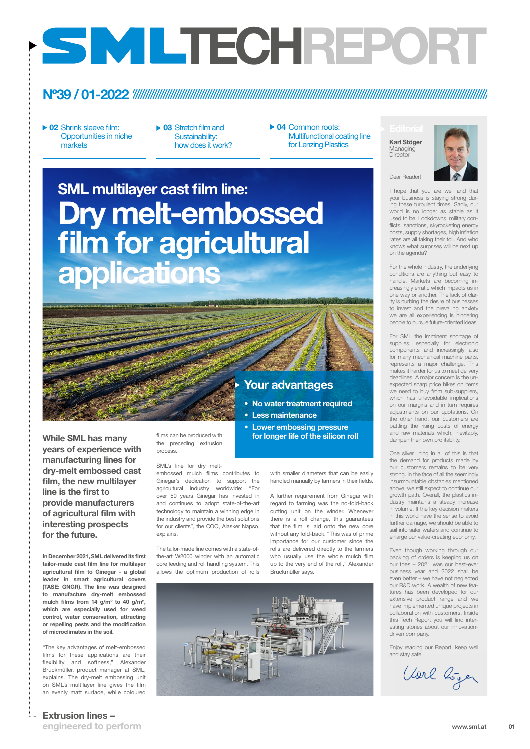01

engineered to perform

In December 2021, SML delivered its first tailor-made cast film line for multilayer

agricultural film to Ginegar - a global leader in smart agricultural covers (TASE: GNGR). The line was designed to manufacture dry-melt embossed mulch films from 14 g/m² to 40 g/m², which are especially used for weed control, water conservation, attracting or repelling pests and the modification of microclimates in the soil.

"The key advantages of melt-embossed films for these applications are their flexibility and softness," Alexander Bruckmüller, product manager at SML, explains. The dry-melt embossing unit on SML's multilayer line gives the film an evenly matt surface, while coloured



### Nº39 / 01-2022

▶ 02 Shrink sleeve film: Opportunities in niche markets

www.sml.at

# TECHREPORT

- ▶ 03 Stretch film and Sustainability: how does it work?
- ▶ 04 Common roots: Multifunctional coating line for Lenzing Plastics

films can be produced with the preceding extrusion process.

#### SML's line for dry melt-

embossed mulch films contributes to Ginegar's dedication to support the agricultural industry worldwide: "For over 50 years Ginegar has invested in

Dry melt-embossed film for agricultural applications SML multilayer cast film line:

While SML has many years of experience with manufacturing lines for dry-melt embossed cast film, the new multilayer line is the first to provide manufacturers of agricultural film with interesting prospects for the future.

Dear Reader!

I hope that you are well and that your business is staying strong during these turbulent times. Sadly, our world is no longer as stable as it used to be. Lockdowns, military conflicts, sanctions, skyrocketing energy costs, supply shortages, high inflation rates are all taking their toll. And who knows what surprises will be next up

### Karl Stöger Managing **Director**



on the agenda?

For the whole industry, the underlying conditions are anything but easy to handle. Markets are becoming increasingly erratic which impacts us in one way or another. The lack of clarity is curbing the desire of businesses to invest and the prevailing anxiety we are all experiencing is hindering people to pursue future-oriented ideas.

and continues to adopt state-of-the-art technology to maintain a winning edge in the industry and provide the best solutions for our clients", the COO, Alasker Napso, explains. A further requirement from Ginegar with regard to farming was the no-fold-back cutting unit on the winder. Whenever there is a roll change, this guarantees that the film is laid onto the new core without any fold-back. "This was of prime importance for our customer since the For SML the imminent shortage of supplies, especially for electronic components and increasingly also for many mechanical machine parts, represents a major challenge. This makes it harder for us to meet delivery deadlines. A major concern is the unexpected sharp price hikes on items we need to buy from sub-suppliers, which has unavoidable implications on our margins and in turn requires adjustments on our quotations. On the other hand, our customers are battling the rising costs of energy and raw materials which, inevitably, dampen their own profitability.

The tailor-made line comes with a state-ofthe-art W2000 winder with an automatic core feeding and roll handling system. This allows the optimum production of rolls rolls are delivered directly to the farmers who usually use the whole mulch film up to the very end of the roll," Alexander Bruckmüller says.

One silver lining in all of this is that the demand for products made by our customers remains to be very strong. In the face of all the seemingly insurmountable obstacles mentioned above, we still expect to continue our growth path. Overall, the plastics industry maintains a steady increase in volume. If the key decision makers in this world have the sense to avoid further damage, we should be able to sail into safer waters and continue to enlarge our value-creating economy.

Even though working through our backlog of orders is keeping us on our toes – 2021 was our best-ever business year and 2022 shall be even better – we have not neglected our R&D work. A wealth of new features has been developed for our extensive product range and we have implemented unique projects in collaboration with customers. Inside this Tech Report you will find interesting stories about our innovationdriven company.

Enjoy reading our Report, keep well and stay safe!

Vorl boyer

### **Extrusion lines –**

with smaller diameters that can be easily handled manually by farmers in their fields.



- No water treatment required
- 
- Lower embossing pressure for longer life of the silicon roll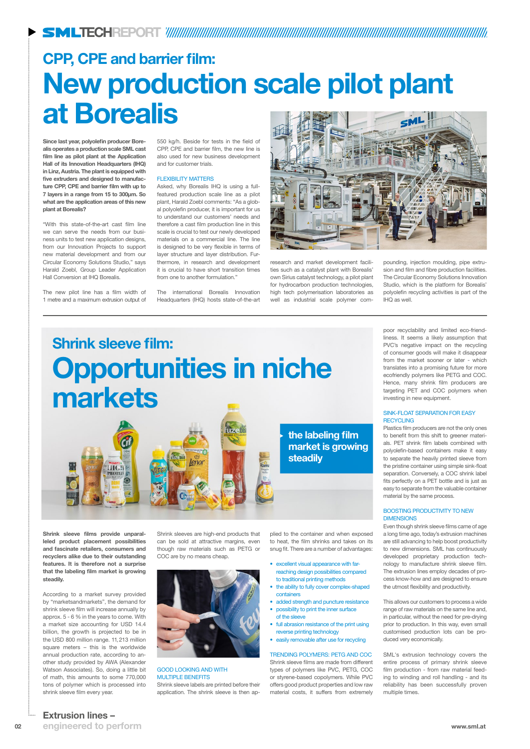research and market development facilities such as a catalyst plant with Borealis' own Sirius catalyst technology, a pilot plant for hydrocarbon production technologies, high tech polymerisation laboratories as well as industrial scale polymer com-

Since last year, polyolefin producer Borealis operates a production scale SML cast film line as pilot plant at the Application Hall of its Innovation Headquarters (IHQ) in Linz, Austria. The plant is equipped with five extruders and designed to manufacture CPP, CPE and barrier film with up to 7 layers in a range from 15 to 300µm. So what are the application areas of this new plant at Borealis?

"With this state-of-the-art cast film line we can serve the needs from our business units to test new application designs, from our Innovation Projects to support new material development and from our Circular Economy Solutions Studio," says Harald Zoebl, Group Leader Application Hall Conversion at IHQ Borealis.

The new pilot line has a film width of 1 metre and a maximum extrusion output of

### CPP, CPE and barrier film: New production scale pilot plant at Borealis SML

550 kg/h. Beside for tests in the field of CPP, CPE and barrier film, the new line is also used for new business development and for customer trials.

#### FLEXIBILITY MATTERS

- reaching design possibilities compared to traditional printing methods
- the ability to fully cover complex-shaped containers
- added strength and puncture resistance
- possibility to print the inner surface of the sleeve
- full abrasion resistance of the print using reverse printing technology
- easily removable after use for recycling

Asked, why Borealis IHQ is using a fullfeatured production scale line as a pilot plant, Harald Zoebl comments: "As a global polyolefin producer, it is important for us to understand our customers' needs and therefore a cast film production line in this scale is crucial to test our newly developed materials on a commercial line. The line is designed to be very flexible in terms of layer structure and layer distribution. Furthermore, in research and development it is crucial to have short transition times from one to another formulation."

The international Borealis Innovation Headquarters (IHQ) hosts state-of-the-art



pounding, injection moulding, pipe extrusion and film and fibre production facilities. The Circular Economy Solutions Innovation Studio, which is the platform for Borealis' polyolefin recycling activities is part of the IHQ as well.

02 www.sml.at engineered to perform

### Extrusion lines –

PVC's negative impact on the recycling of consumer goods will make it disappear from the market sooner or later - which translates into a promising future for more ecofriendly polymers like PETG and COC. Hence, many shrink film producers are targeting PET and COC polymers when investing in new equipment.

# Shrink sleeve film: Opportunities in niche markets

### SINK-FLOAT SEPARATION FOR EASY **RECYCLING**

plied to the container and when exposed to heat, the film shrinks and takes on its snug fit. There are a number of advantages:

• excellent visual appearance with far-

### BOOSTING PRODUCTIVITY TO NEW **DIMENSIONS**

#### TRENDING POLYMERS: PETG AND COC

Shrink sleeve films are made from different types of polymers like PVC, PETG, COC or styrene-based copolymers. While PVC offers good product properties and low raw material costs, it suffers from extremely

Shrink sleeve films provide unparalleled product placement possibilities and fascinate retailers, consumers and recyclers alike due to their outstanding features. It is therefore not a surprise that the labeling film market is growing steadily.

ШСН

According to a market survey provided by "marketsandmarkets", the demand for shrink sleeve film will increase annually by approx. 5 - 6 % in the years to come. With a market size accounting for USD 14.4 billion, the growth is projected to be in the USD 800 million range. 11, 213 million square meters – this is the worldwide annual production rate, according to another study provided by AWA (Alexander Watson Associates). So, doing a little bit of math, this amounts to some 770,000 tons of polymer which is processed into shrink sleeve film every year.



Shrink sleeves are high-end products that can be sold at attractive margins, even though raw materials such as PETG or COC are by no means cheap.

### GOOD LOOKING AND WITH MULTIPLE BENEFITS

Shrink sleeve labels are printed before their application. The shrink sleeve is then appoor recyclability and limited eco-friendliness. It seems a likely assumption that

Plastics film producers are not the only ones to benefit from this shift to greener materials. PET shrink film labels combined with polyolefin-based containers make it easy to separate the heavily printed sleeve from the pristine container using simple sink-float separation. Conversely, a COC shrink label fits perfectly on a PET bottle and is just as easy to separate from the valuable container material by the same process.

Even though shrink sleeve films came of age a long time ago, today's extrusion machines are still advancing to help boost productivity to new dimensions. SML has continuously developed proprietary production technology to manufacture shrink sleeve film. The extrusion lines employ decades of process know-how and are designed to ensure the utmost flexibility and productivity.

This allows our customers to process a wide range of raw materials on the same line and, in particular, without the need for pre-drying prior to production. In this way, even small customised production lots can be produced very economically.

SML's extrusion technology covers the entire process of primary shrink sleeve film production - from raw material feeding to winding and roll handling - and its reliability has been successfully proven multiple times.

the labeling film

market is growing

steadily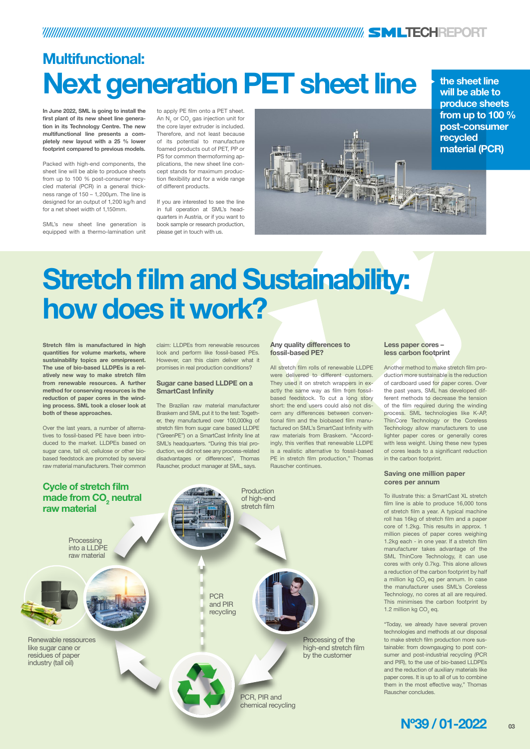### TECHREPORT

In June 2022, SML is going to install the first plant of its new sheet line generation in its Technology Centre. The new multifunctional line presents a completely new layout with a 25 % lower footprint compared to previous models.

Packed with high-end components, the sheet line will be able to produce sheets from up to 100 % post-consumer recycled material (PCR) in a general thickness range of 150 – 1, 200µm. The line is designed for an output of 1, 200 kg/h and for a net sheet width of 1,150mm.

SML's new sheet line generation is equipped with a thermo-lamination unit

# Multifunctional: Next generation PET sheet line the sheet line

to apply PE film onto a PET sheet. An  $\mathsf{N}_2$  or CO<sub>2</sub> gas injection unit for the core layer extruder is included. Therefore, and not least because of its potential to manufacture foamed products out of PET, PP or PS for common thermoforming applications, the new sheet line concept stands for maximum production flexibility and for a wide range of different products.

If you are interested to see the line in full operation at SML's headquarters in Austria, or if you want to book sample or research production, please get in touch with us.

will be able to

To illustrate this: a SmartCast XL stretch film line is able to produce 16,000 tons of stretch film a year. A typical machine roll has 16kg of stretch film and a paper core of 1.2kg. This results in approx. 1 million pieces of paper cores weighing 1.2kg each - in one year. If a stretch film manufacturer takes advantage of the SML ThinCore Technology, it can use cores with only 0.7kg. This alone allows a reduction of the carbon footprint by half a million kg CO<sub>2</sub> eq per annum. In case the manufacturer uses SML's Coreless Technology, no cores at all are required. This minimises the carbon footprint by 1.2 million kg  $CO<sub>2</sub>$  eq.



### Any quality differences to fossil-based PE?

All stretch film rolls of renewable LLDPE were delivered to different customers. They used it on stretch wrappers in exactly the same way as film from fossilbased feedstock. To cut a long story short: the end users could also not discern any differences between conventional film and the biobased film manufactured on SML's SmartCast Infinity with raw materials from Braskem. "Accordingly, this verifies that renewable LLDPE is a realistic alternative to fossil-based PE in stretch film production," Thomas Rauscher continues.

### Less paper cores – less carbon footprint

Another method to make stretch film production more sustainable is the reduction of cardboard used for paper cores. Over the past years, SML has developed different methods to decrease the tension of the film required during the winding process. SML technologies like K-AP, ThinCore Technology or the Coreless Technology allow manufacturers to use lighter paper cores or generally cores with less weight. Using these new types of cores leads to a significant reduction in the carbon footprint.

### Saving one million paper cores per annum

**Processing** into a LLDPE raw material

> **PCR** and PIR recycling

> > "Today, we already have several proven technologies and methods at our disposal to make stretch film production more sustainable: from downgauging to post consumer and post-industrial recycling (PCR and PIR), to the use of bio-based LLDPEs and the reduction of auxiliary materials like paper cores. It is up to all of us to combine them in the most effective way," Thomas Rauscher concludes.



# Stretch film and Sustainability: how does it work?

Stretch film is manufactured in high quantities for volume markets, where sustainability topics are omnipresent. The use of bio-based LLDPEs is a relatively new way to make stretch film from renewable resources. A further method for conserving resources is the reduction of paper cores in the winding process. SML took a closer look at both of these approaches.

Over the last years, a number of alternatives to fossil-based PE have been introduced to the market. LLDPEs based on sugar cane, tall oil, cellulose or other biobased feedstock are promoted by several raw material manufacturers. Their common

claim: LLDPEs from renewable resources look and perform like fossil-based PEs. However, can this claim deliver what it promises in real production conditions?

### Sugar cane based LLDPE on a SmartCast Infinity

The Brazilian raw material manufacturer Braskem and SML put it to the test: Together, they manufactured over 100,000kg of stretch film from sugar cane based LLDPE ("GreenPE") on a SmartCast Infinity line at SML's headquarters. "During this trial production, we did not see any process-related disadvantages or differences", Thomas Rauscher, product manager at SML, says.

Renewable ressources like sugar cane or residues of paper industry (tall oil)

> PCR, PIR and chemical recycling

Processing of the high-end stretch film by the customer





### Cycle of stretch film made from  $CO<sub>2</sub>$  neutral raw material